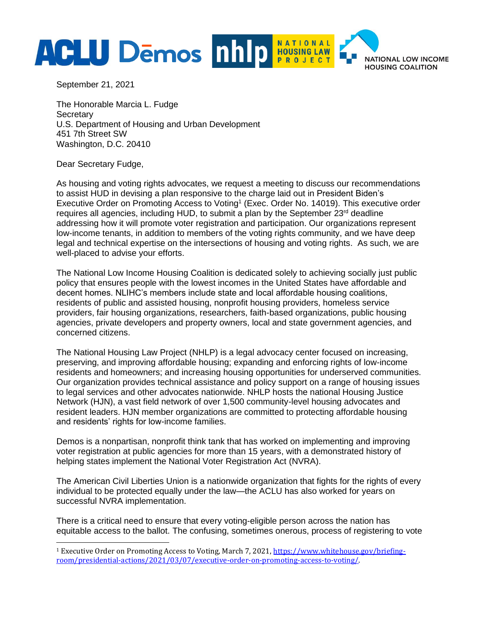

September 21, 2021

The Honorable Marcia L. Fudge **Secretary** U.S. Department of Housing and Urban Development 451 7th Street SW Washington, D.C. 20410

Dear Secretary Fudge,

As housing and voting rights advocates, we request a meeting to discuss our recommendations to assist HUD in devising a plan responsive to the charge laid out in President Biden's Executive Order on Promoting Access to Voting<sup>1</sup> (Exec. Order No. 14019). This executive order requires all agencies, including HUD, to submit a plan by the September 23<sup>rd</sup> deadline addressing how it will promote voter registration and participation. Our organizations represent low-income tenants, in addition to members of the voting rights community, and we have deep legal and technical expertise on the intersections of housing and voting rights. As such, we are well-placed to advise your efforts.

The National Low Income Housing Coalition is dedicated solely to achieving socially just public policy that ensures people with the lowest incomes in the United States have affordable and decent homes. NLIHC's members include state and local affordable housing coalitions, residents of public and assisted housing, nonprofit housing providers, homeless service providers, fair housing organizations, researchers, faith-based organizations, public housing agencies, private developers and property owners, local and state government agencies, and concerned citizens.

The National Housing Law Project (NHLP) is a legal advocacy center focused on increasing, preserving, and improving affordable housing; expanding and enforcing rights of low-income residents and homeowners; and increasing housing opportunities for underserved communities. Our organization provides technical assistance and policy support on a range of housing issues to legal services and other advocates nationwide. NHLP hosts the national Housing Justice Network (HJN), a vast field network of over 1,500 community-level housing advocates and resident leaders. HJN member organizations are committed to protecting affordable housing and residents' rights for low-income families.

Demos is a nonpartisan, nonprofit think tank that has worked on implementing and improving voter registration at public agencies for more than 15 years, with a demonstrated history of helping states implement the National Voter Registration Act (NVRA).

The American Civil Liberties Union is a nationwide organization that fights for the rights of every individual to be protected equally under the law—the ACLU has also worked for years on successful NVRA implementation.

There is a critical need to ensure that every voting-eligible person across the nation has equitable access to the ballot. The confusing, sometimes onerous, process of registering to vote

<sup>1</sup> Executive Order on Promoting Access to Voting, March 7, 2021, [https://www.whitehouse.gov/briefing](https://www.whitehouse.gov/briefing-room/presidential-actions/2021/03/07/executive-order-on-promoting-access-to-voting/)[room/presidential-actions/2021/03/07/executive-order-on-promoting-access-to-voting/.](https://www.whitehouse.gov/briefing-room/presidential-actions/2021/03/07/executive-order-on-promoting-access-to-voting/)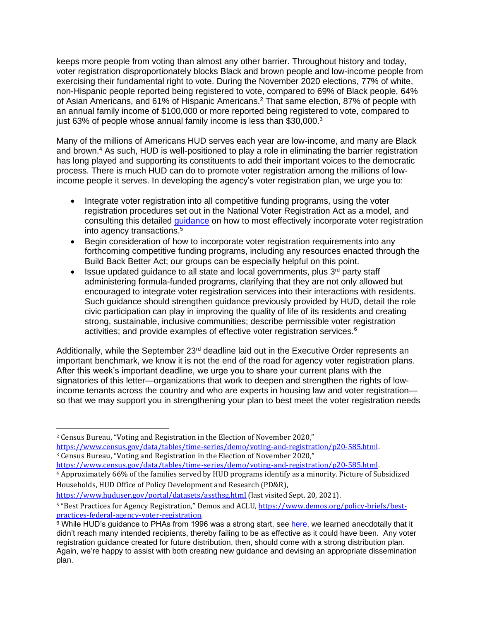keeps more people from voting than almost any other barrier. Throughout history and today, voter registration disproportionately blocks Black and brown people and low-income people from exercising their fundamental right to vote. During the November 2020 elections, 77% of white, non-Hispanic people reported being registered to vote, compared to 69% of Black people, 64% of Asian Americans, and 61% of Hispanic Americans.<sup>2</sup> That same election, 87% of people with an annual family income of \$100,000 or more reported being registered to vote, compared to just 63% of people whose annual family income is less than \$30,000.<sup>3</sup>

Many of the millions of Americans HUD serves each year are low-income, and many are Black and brown.<sup>4</sup> As such, HUD is well-positioned to play a role in eliminating the barrier registration has long played and supporting its constituents to add their important voices to the democratic process. There is much HUD can do to promote voter registration among the millions of lowincome people it serves. In developing the agency's voter registration plan, we urge you to:

- Integrate voter registration into all competitive funding programs, using the voter registration procedures set out in the National Voter Registration Act as a model, and consulting this detailed [guidance](https://www.demos.org/policy-briefs/best-practices-federal-agency-voter-registration) on how to most effectively incorporate voter registration into agency transactions. 5
- Begin consideration of how to incorporate voter registration requirements into any forthcoming competitive funding programs, including any resources enacted through the Build Back Better Act; our groups can be especially helpful on this point.
- Issue updated guidance to all state and local governments, plus 3<sup>rd</sup> party staff administering formula-funded programs, clarifying that they are not only allowed but encouraged to integrate voter registration services into their interactions with residents. Such guidance should strengthen guidance previously provided by HUD, detail the role civic participation can play in improving the quality of life of its residents and creating strong, sustainable, inclusive communities; describe permissible voter registration activities; and provide examples of effective voter registration services. $6$

Additionally, while the September 23<sup>rd</sup> deadline laid out in the Executive Order represents an important benchmark, we know it is not the end of the road for agency voter registration plans. After this week's important deadline, we urge you to share your current plans with the signatories of this letter—organizations that work to deepen and strengthen the rights of lowincome tenants across the country and who are experts in housing law and voter registration so that we may support you in strengthening your plan to best meet the voter registration needs

<sup>2</sup> Census Bureau, "Voting and Registration in the Election of November 2020," [https://www.census.gov/data/tables/time-series/demo/voting-and-registration/p20-585.html.](https://www.census.gov/data/tables/time-series/demo/voting-and-registration/p20-585.html)  <sup>3</sup> Census Bureau, "Voting and Registration in the Election of November 2020,"

[https://www.census.gov/data/tables/time-series/demo/voting-and-registration/p20-585.html.](https://www.census.gov/data/tables/time-series/demo/voting-and-registration/p20-585.html) 

<sup>4</sup> Approximately 66% of the families served by HUD programs identify as a minority. Picture of Subsidized Households, HUD Office of Policy Development and Research (PD&R),

<https://www.huduser.gov/portal/datasets/assthsg.html> (last visited Sept. 20, 2021).

<sup>&</sup>lt;sup>5</sup> "Best Practices for Agency Registration," Demos and ACLU, [https://www.demos.org/policy-briefs/best](https://www.demos.org/policy-briefs/best-practices-federal-agency-voter-registration)[practices-federal-agency-voter-registration.](https://www.demos.org/policy-briefs/best-practices-federal-agency-voter-registration)

 $6$  While HUD's guidance to PHAs from 1996 was a strong start, see [here,](https://www.govinfo.gov/content/pkg/FR-1996-03-07/html/96-5300.htm) we learned anecdotally that it didn't reach many intended recipients, thereby failing to be as effective as it could have been. Any voter registration guidance created for future distribution, then, should come with a strong distribution plan. Again, we're happy to assist with both creating new guidance and devising an appropriate dissemination plan.